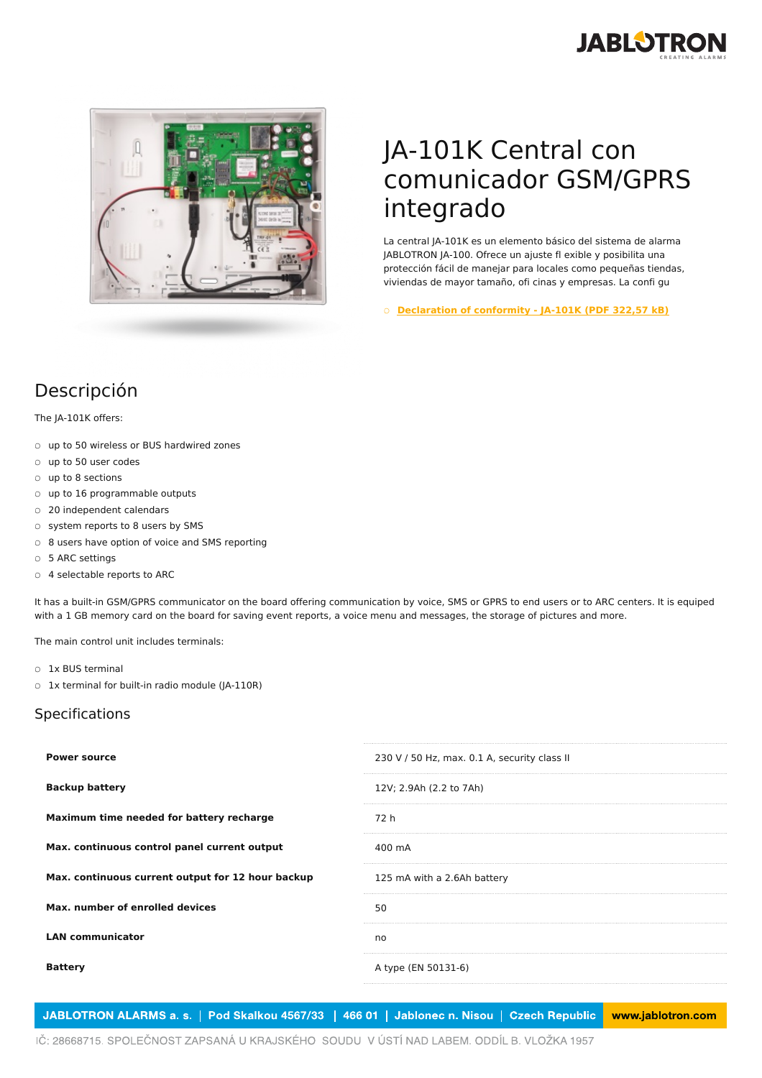



## JA-101K Central con comunicador GSM/GPRS integrado

La central JA-101K es un elemento básico del sistema de alarma JABLOTRON JA-100. Ofrece un ajuste fl exible y posibilita una protección fácil de manejar para locales como pequeñas tiendas, viviendas de mayor tamaño, ofi cinas y empresas. La confi gu

○ **[Declaration](https://www.jablotron.com/es/template/product/209/?file=0&jt_id=13744&hash=e5KerE&do=downloadCertificate) of conformity - JA-101K (PDF 322,57 kB)**

## Descripción

The JA-101K offers:

- up to 50 wireless or BUS hardwired zones
- up to 50 user codes
- up to 8 sections
- up to 16 programmable outputs
- 20 independent calendars
- system reports to 8 users by SMS
- 8 users have option of voice and SMS reporting
- 5 ARC settings
- 4 selectable reports to ARC

It has a built-in GSM/GPRS communicator on the board offering communication by voice, SMS or GPRS to end users or to ARC centers. It is equiped with a 1 GB memory card on the board for saving event reports, a voice menu and messages, the storage of pictures and more.

The main control unit includes terminals:

- 1x BUS terminal
- 1x terminal for built-in radio module (JA-110R)

## Specifications

| <b>Power source</b>                               | 230 V / 50 Hz, max. 0.1 A, security class II |
|---------------------------------------------------|----------------------------------------------|
| <b>Backup battery</b>                             | 12V; 2.9Ah (2.2 to 7Ah)                      |
| Maximum time needed for battery recharge          | 72 h                                         |
| Max. continuous control panel current output      | 400 mA                                       |
| Max. continuous current output for 12 hour backup | 125 mA with a 2.6Ah battery                  |
| Max, number of enrolled devices                   | 50                                           |
| <b>LAN communicator</b>                           | no                                           |
| <b>Battery</b>                                    | A type (EN 50131-6)                          |
|                                                   |                                              |

JABLOTRON ALARMS a. s. | Pod Skalkou 4567/33 | 466 01 | Jablonec n. Nisou | Czech Republic www.jablotron.com

IČ: 28668715. SPOLEČNOST ZAPSANÁ U KRAJSKÉHO SOUDU V ÚSTÍ NAD LABEM. ODDÍL B. VLOŽKA 1957